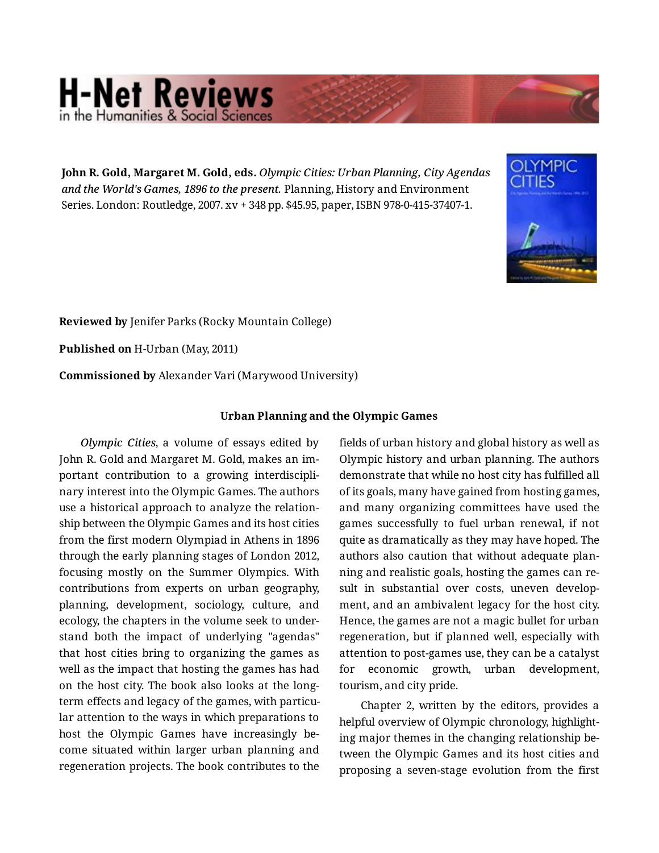## **H-Net Reviews** in the Humanities & Social S

**John R. Gold, Margaret M. Gold, eds.** *Olympic Cities: Urban Planning, City Agendas and the World's Games, 1896 to the present.* Planning, History and Environment Series. London: Routledge, 2007. xv + 348 pp. \$45.95, paper, ISBN 978-0-415-37407-1.



**Reviewed by** Jenifer Parks (Rocky Mountain College)

**Published on** H-Urban (May, 2011)

**Commissioned by** Alexander Vari (Marywood University)

## **Urban Planning and the Olympic Games**

*Olympic Cities*, a volume of essays edited by John R. Gold and Margaret M. Gold, makes an im‐ portant contribution to a growing interdiscipli‐ nary interest into the Olympic Games. The authors use a historical approach to analyze the relation‐ ship between the Olympic Games and its host cities from the first modern Olympiad in Athens in 1896 through the early planning stages of London 2012, focusing mostly on the Summer Olympics. With contributions from experts on urban geography, planning, development, sociology, culture, and ecology, the chapters in the volume seek to under‐ stand both the impact of underlying "agendas" that host cities bring to organizing the games as well as the impact that hosting the games has had on the host city. The book also looks at the longterm effects and legacy of the games, with particular attention to the ways in which preparations to host the Olympic Games have increasingly be‐ come situated within larger urban planning and regeneration projects. The book contributes to the

fields of urban history and global history as well as Olympic history and urban planning. The authors demonstrate that while no host city has fulfilled all of its goals, many have gained from hosting games, and many organizing committees have used the games successfully to fuel urban renewal, if not quite as dramatically as they may have hoped. The authors also caution that without adequate plan‐ ning and realistic goals, hosting the games can re‐ sult in substantial over costs, uneven development, and an ambivalent legacy for the host city. Hence, the games are not a magic bullet for urban regeneration, but if planned well, especially with attention to post-games use, they can be a catalyst for economic growth, urban development, tourism, and city pride.

Chapter 2, written by the editors, provides a helpful overview of Olympic chronology, highlight‐ ing major themes in the changing relationship be‐ tween the Olympic Games and its host cities and proposing a seven-stage evolution from the first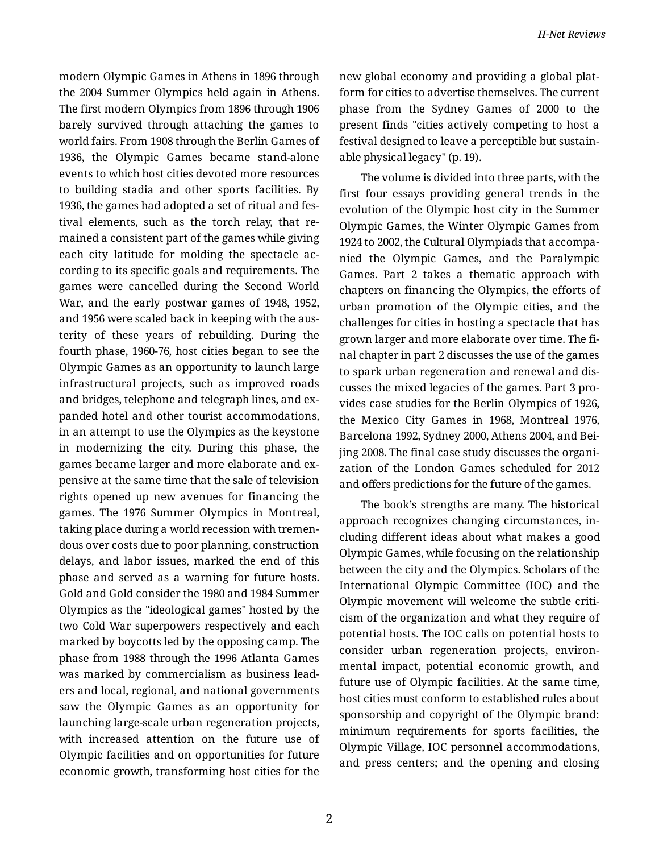modern Olympic Games in Athens in 1896 through the 2004 Summer Olympics held again in Athens. The first modern Olympics from 1896 through 1906 barely survived through attaching the games to world fairs. From 1908 through the Berlin Games of 1936, the Olympic Games became stand-alone events to which host cities devoted more resources to building stadia and other sports facilities. By 1936, the games had adopted a set of ritual and fes‐ tival elements, such as the torch relay, that re‐ mained a consistent part of the games while giving each city latitude for molding the spectacle ac‐ cording to its specific goals and requirements. The games were cancelled during the Second World War, and the early postwar games of 1948, 1952, and 1956 were scaled back in keeping with the aus‐ terity of these years of rebuilding. During the fourth phase, 1960-76, host cities began to see the Olympic Games as an opportunity to launch large infrastructural projects, such as improved roads and bridges, telephone and telegraph lines, and ex‐ panded hotel and other tourist accommodations, in an attempt to use the Olympics as the keystone in modernizing the city. During this phase, the games became larger and more elaborate and ex‐ pensive at the same time that the sale of television rights opened up new avenues for financing the games. The 1976 Summer Olympics in Montreal, taking place during a world recession with tremen‐ dous over costs due to poor planning, construction delays, and labor issues, marked the end of this phase and served as a warning for future hosts. Gold and Gold consider the 1980 and 1984 Summer Olympics as the "ideological games" hosted by the two Cold War superpowers respectively and each marked by boycotts led by the opposing camp. The phase from 1988 through the 1996 Atlanta Games was marked by commercialism as business lead‐ ers and local, regional, and national governments saw the Olympic Games as an opportunity for launching large-scale urban regeneration projects, with increased attention on the future use of Olympic facilities and on opportunities for future economic growth, transforming host cities for the

new global economy and providing a global plat‐ form for cities to advertise themselves. The current phase from the Sydney Games of 2000 to the present finds "cities actively competing to host a festival designed to leave a perceptible but sustain‐ able physical legacy" (p. 19).

The volume is divided into three parts, with the first four essays providing general trends in the evolution of the Olympic host city in the Summer Olympic Games, the Winter Olympic Games from 1924 to 2002, the Cultural Olympiads that accompa‐ nied the Olympic Games, and the Paralympic Games. Part 2 takes a thematic approach with chapters on financing the Olympics, the efforts of urban promotion of the Olympic cities, and the challenges for cities in hosting a spectacle that has grown larger and more elaborate over time. The fi‐ nal chapter in part 2 discusses the use of the games to spark urban regeneration and renewal and dis‐ cusses the mixed legacies of the games. Part 3 pro‐ vides case studies for the Berlin Olympics of 1926, the Mexico City Games in 1968, Montreal 1976, Barcelona 1992, Sydney 2000, Athens 2004, and Bei‐ jing 2008. The final case study discusses the organi‐ zation of the London Games scheduled for 2012 and offers predictions for the future of the games.

The book's strengths are many. The historical approach recognizes changing circumstances, in‐ cluding different ideas about what makes a good Olympic Games, while focusing on the relationship between the city and the Olympics. Scholars of the International Olympic Committee (IOC) and the Olympic movement will welcome the subtle criti‐ cism of the organization and what they require of potential hosts. The IOC calls on potential hosts to consider urban regeneration projects, environ‐ mental impact, potential economic growth, and future use of Olympic facilities. At the same time, host cities must conform to established rules about sponsorship and copyright of the Olympic brand: minimum requirements for sports facilities, the Olympic Village, IOC personnel accommodations, and press centers; and the opening and closing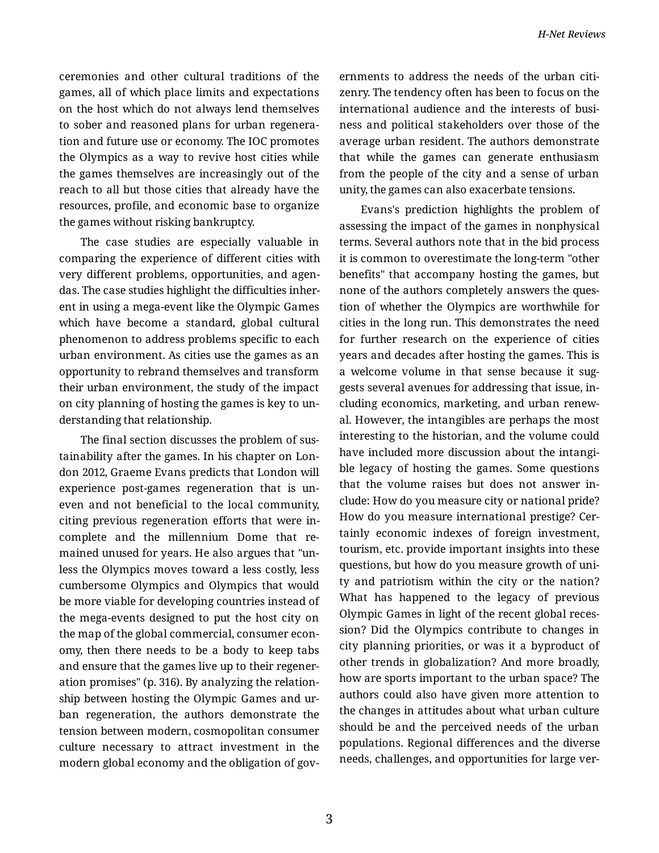ceremonies and other cultural traditions of the games, all of which place limits and expectations on the host which do not always lend themselves to sober and reasoned plans for urban regenera‐ tion and future use or economy. The IOC promotes the Olympics as a way to revive host cities while the games themselves are increasingly out of the reach to all but those cities that already have the resources, profile, and economic base to organize the games without risking bankruptcy.

The case studies are especially valuable in comparing the experience of different cities with very different problems, opportunities, and agen‐ das. The case studies highlight the difficulties inher‐ ent in using a mega-event like the Olympic Games which have become a standard, global cultural phenomenon to address problems specific to each urban environment. As cities use the games as an opportunity to rebrand themselves and transform their urban environment, the study of the impact on city planning of hosting the games is key to un‐ derstanding that relationship.

The final section discusses the problem of sus‐ tainability after the games. In his chapter on Lon‐ don 2012, Graeme Evans predicts that London will experience post-games regeneration that is un‐ even and not beneficial to the local community, citing previous regeneration efforts that were in‐ complete and the millennium Dome that re‐ mained unused for years. He also argues that "un‐ less the Olympics moves toward a less costly, less cumbersome Olympics and Olympics that would be more viable for developing countries instead of the mega-events designed to put the host city on the map of the global commercial, consumer econ‐ omy, then there needs to be a body to keep tabs and ensure that the games live up to their regener‐ ation promises" (p. 316). By analyzing the relation‐ ship between hosting the Olympic Games and ur‐ ban regeneration, the authors demonstrate the tension between modern, cosmopolitan consumer culture necessary to attract investment in the modern global economy and the obligation of gov‐

ernments to address the needs of the urban citi‐ zenry. The tendency often has been to focus on the international audience and the interests of busi‐ ness and political stakeholders over those of the average urban resident. The authors demonstrate that while the games can generate enthusiasm from the people of the city and a sense of urban unity, the games can also exacerbate tensions.

Evans's prediction highlights the problem of assessing the impact of the games in nonphysical terms. Several authors note that in the bid process it is common to overestimate the long-term "other benefits" that accompany hosting the games, but none of the authors completely answers the ques‐ tion of whether the Olympics are worthwhile for cities in the long run. This demonstrates the need for further research on the experience of cities years and decades after hosting the games. This is a welcome volume in that sense because it sug‐ gests several avenues for addressing that issue, in‐ cluding economics, marketing, and urban renew‐ al. However, the intangibles are perhaps the most interesting to the historian, and the volume could have included more discussion about the intangible legacy of hosting the games. Some questions that the volume raises but does not answer in‐ clude: How do you measure city or national pride? How do you measure international prestige? Cer‐ tainly economic indexes of foreign investment, tourism, etc. provide important insights into these questions, but how do you measure growth of uni‐ ty and patriotism within the city or the nation? What has happened to the legacy of previous Olympic Games in light of the recent global reces‐ sion? Did the Olympics contribute to changes in city planning priorities, or was it a byproduct of other trends in globalization? And more broadly, how are sports important to the urban space? The authors could also have given more attention to the changes in attitudes about what urban culture should be and the perceived needs of the urban populations. Regional differences and the diverse needs, challenges, and opportunities for large ver‐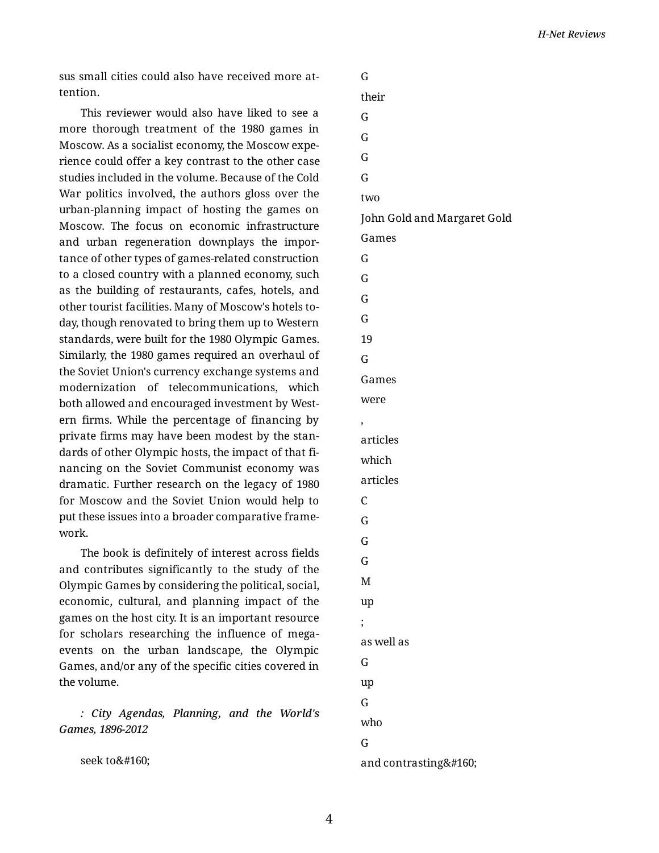sus small cities could also have received more at‐ tention.

This reviewer would also have liked to see a more thorough treatment of the 1980 games in Moscow. As a socialist economy, the Moscow expe‐ rience could offer a key contrast to the other case studies included in the volume. Because of the Cold War politics involved, the authors gloss over the urban-planning impact of hosting the games on Moscow. The focus on economic infrastructure and urban regeneration downplays the impor‐ tance of other types of games-related construction to a closed country with a planned economy, such as the building of restaurants, cafes, hotels, and other tourist facilities. Many of Moscow's hotels to‐ day, though renovated to bring them up to Western standards, were built for the 1980 Olympic Games. Similarly, the 1980 games required an overhaul of the Soviet Union's currency exchange systems and modernization of telecommunications, which both allowed and encouraged investment by West‐ ern firms. While the percentage of financing by private firms may have been modest by the stan‐ dards of other Olympic hosts, the impact of that fi‐ nancing on the Soviet Communist economy was dramatic. Further research on the legacy of 1980 for Moscow and the Soviet Union would help to put these issues into a broader comparative frame‐ work.

The book is definitely of interest across fields and contributes significantly to the study of the Olympic Games by considering the political, social, economic, cultural, and planning impact of the games on the host city. It is an important resource for scholars researching the influence of megaevents on the urban landscape, the Olympic Games, and/or any of the specific cities covered in the volume.

*: City Agendas, Planning, and the World's Games, 1896-2012*

seek to

G their G G G G two John Gold and Margaret Gold Games G G G G 19 G Games were , articles which articles C G G G M up ; as well as G up G who G and contrasting